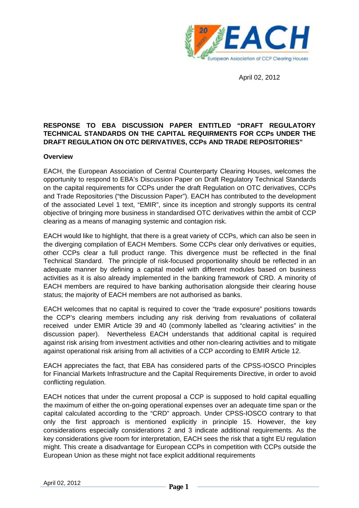

April 02, 2012

## **RESPONSE TO EBA DISCUSSION PAPER ENTITLED "DRAFT REGULATORY TECHNICAL STANDARDS ON THE CAPITAL REQUIRMENTS FOR CCPs UNDER THE DRAFT REGULATION ON OTC DERIVATIVES, CCPs AND TRADE REPOSITORIES"**

#### **Overview**

EACH, the European Association of Central Counterparty Clearing Houses, welcomes the opportunity to respond to EBA's Discussion Paper on Draft Regulatory Technical Standards on the capital requirements for CCPs under the draft Regulation on OTC derivatives, CCPs and Trade Repositories ("the Discussion Paper"). EACH has contributed to the development of the associated Level 1 text, "EMIR", since its inception and strongly supports its central objective of bringing more business in standardised OTC derivatives within the ambit of CCP clearing as a means of managing systemic and contagion risk.

EACH would like to highlight, that there is a great variety of CCPs, which can also be seen in the diverging compilation of EACH Members. Some CCPs clear only derivatives or equities, other CCPs clear a full product range. This divergence must be reflected in the final Technical Standard. The principle of risk-focused proportionality should be reflected in an adequate manner by defining a capital model with different modules based on business activities as it is also already implemented in the banking framework of CRD. A minority of EACH members are required to have banking authorisation alongside their clearing house status; the majority of EACH members are not authorised as banks.

EACH welcomes that no capital is required to cover the "trade exposure" positions towards the CCP's clearing members including any risk deriving from revaluations of collateral received under EMIR Article 39 and 40 (commonly labelled as "clearing activities" in the discussion paper). Nevertheless EACH understands that additional capital is required against risk arising from investment activities and other non-clearing activities and to mitigate against operational risk arising from all activities of a CCP according to EMIR Article 12.

EACH appreciates the fact, that EBA has considered parts of the CPSS-IOSCO Principles for Financial Markets Infrastructure and the Capital Requirements Directive, in order to avoid conflicting regulation.

EACH notices that under the current proposal a CCP is supposed to hold capital equalling the maximum of either the on-going operational expenses over an adequate time span or the capital calculated according to the "CRD" approach. Under CPSS-IOSCO contrary to that only the first approach is mentioned explicitly in principle 15. However, the key considerations especially considerations 2 and 3 indicate additional requirements. As the key considerations give room for interpretation, EACH sees the risk that a tight EU regulation might. This create a disadvantage for European CCPs in competition with CCPs outside the European Union as these might not face explicit additional requirements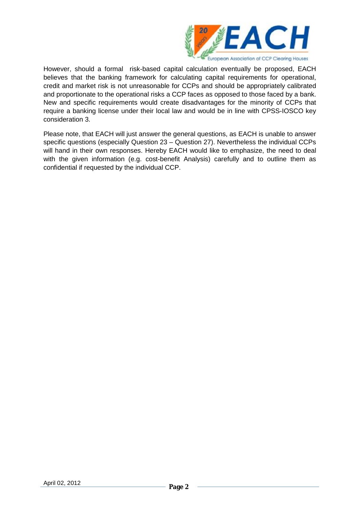

However, should a formal risk-based capital calculation eventually be proposed, EACH believes that the banking framework for calculating capital requirements for operational, credit and market risk is not unreasonable for CCPs and should be appropriately calibrated and proportionate to the operational risks a CCP faces as opposed to those faced by a bank. New and specific requirements would create disadvantages for the minority of CCPs that require a banking license under their local law and would be in line with CPSS-IOSCO key consideration 3.

Please note, that EACH will just answer the general questions, as EACH is unable to answer specific questions (especially Question 23 – Question 27). Nevertheless the individual CCPs will hand in their own responses. Hereby EACH would like to emphasize, the need to deal with the given information (e.g. cost-benefit Analysis) carefully and to outline them as confidential if requested by the individual CCP.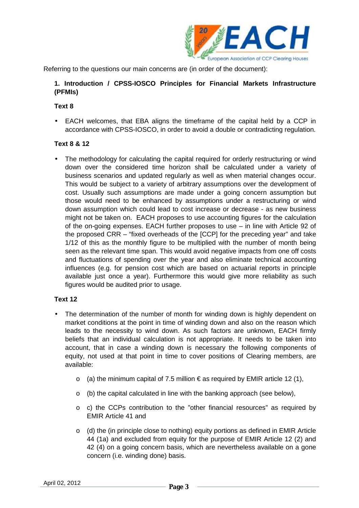

Referring to the questions our main concerns are (in order of the document):

### **1. Introduction / CPSS-IOSCO Principles for Financial Markets Infrastructure (PFMIs)**

### **Text 8**

• EACH welcomes, that EBA aligns the timeframe of the capital held by a CCP in accordance with CPSS-IOSCO, in order to avoid a double or contradicting regulation.

## **Text 8 & 12**

• The methodology for calculating the capital required for orderly restructuring or wind down over the considered time horizon shall be calculated under a variety of business scenarios and updated regularly as well as when material changes occur. This would be subject to a variety of arbitrary assumptions over the development of cost. Usually such assumptions are made under a going concern assumption but those would need to be enhanced by assumptions under a restructuring or wind down assumption which could lead to cost increase or decrease - as new business might not be taken on. EACH proposes to use accounting figures for the calculation of the on-going expenses. EACH further proposes to use – in line with Article 92 of the proposed CRR – "fixed overheads of the [CCP] for the preceding year" and take 1/12 of this as the monthly figure to be multiplied with the number of month being seen as the relevant time span. This would avoid negative impacts from one off costs and fluctuations of spending over the year and also eliminate technical accounting influences (e.g. for pension cost which are based on actuarial reports in principle available just once a year). Furthermore this would give more reliability as such figures would be audited prior to usage.

## **Text 12**

- The determination of the number of month for winding down is highly dependent on market conditions at the point in time of winding down and also on the reason which leads to the necessity to wind down. As such factors are unknown, EACH firmly beliefs that an individual calculation is not appropriate. It needs to be taken into account, that in case a winding down is necessary the following components of equity, not used at that point in time to cover positions of Clearing members, are available:
	- o (a) the minimum capital of 7.5 million € as required by EMIR article 12 (1),
	- o (b) the capital calculated in line with the banking approach (see below),
	- o c) the CCPs contribution to the "other financial resources" as required by EMIR Article 41 and
	- o (d) the (in principle close to nothing) equity portions as defined in EMIR Article 44 (1a) and excluded from equity for the purpose of EMIR Article 12 (2) and 42 (4) on a going concern basis, which are nevertheless available on a gone concern (i.e. winding done) basis.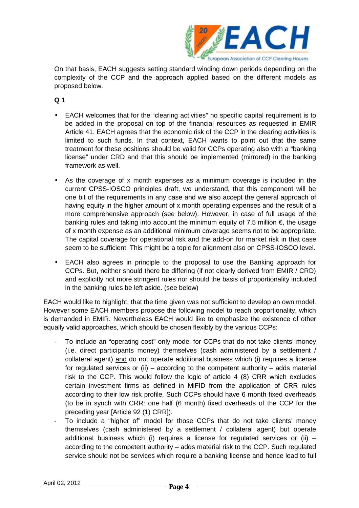

On that basis, EACH suggests setting standard winding down periods depending on the complexity of the CCP and the approach applied based on the different models as proposed below.

**Q 1** 

- EACH welcomes that for the "clearing activities" no specific capital requirement is to be added in the proposal on top of the financial resources as requested in EMIR Article 41. EACH agrees that the economic risk of the CCP in the clearing activities is limited to such funds. In that context, EACH wants to point out that the same treatment for these positions should be valid for CCPs operating also with a "banking license" under CRD and that this should be implemented (mirrored) in the banking framework as well.
- As the coverage of x month expenses as a minimum coverage is included in the current CPSS-IOSCO principles draft, we understand, that this component will be one bit of the requirements in any case and we also accept the general approach of having equity in the higher amount of x month operating expenses and the result of a more comprehensive approach (see below). However, in case of full usage of the banking rules and taking into account the minimum equity of 7.5 million  $\epsilon$ , the usage of x month expense as an additional minimum coverage seems not to be appropriate. The capital coverage for operational risk and the add-on for market risk in that case seem to be sufficient. This might be a topic for alignment also on CPSS-IOSCO level.
- EACH also agrees in principle to the proposal to use the Banking approach for CCPs. But, neither should there be differing (if not clearly derived from EMIR / CRD) and explicitly not more stringent rules nor should the basis of proportionality included in the banking rules be left aside. (see below)

EACH would like to highlight, that the time given was not sufficient to develop an own model. However some EACH members propose the following model to reach proportionality, which is demanded in EMIR. Nevertheless EACH would like to emphasize the existence of other equally valid approaches, which should be chosen flexibly by the various CCPs:

- To include an "operating cost" only model for CCPs that do not take clients' money (i.e. direct participants money) themselves (cash administered by a settlement / collateral agent) and do not operate additional business which (i) requires a license for regulated services or (ii) – according to the competent authority – adds material risk to the CCP. This would follow the logic of article 4 (8) CRR which excludes certain investment firms as defined in MiFID from the application of CRR rules according to their low risk profile. Such CCPs should have 6 month fixed overheads (to be in synch with CRR: one half (6 month) fixed overheads of the CCP for the preceding year [Article 92 (1) CRR]).
- To include a "higher of" model for those CCPs that do not take clients' money themselves (cash administered by a settlement / collateral agent) but operate additional business which (i) requires a license for requlated services or (ii)  $$ according to the competent authority – adds material risk to the CCP. Such regulated service should not be services which require a banking license and hence lead to full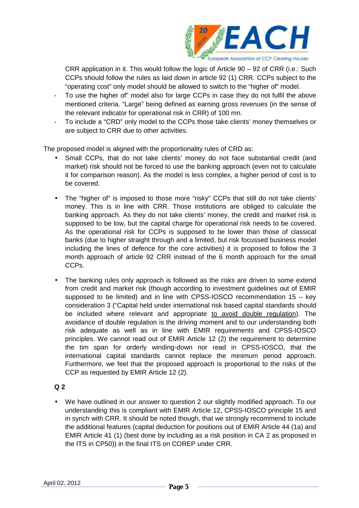

CRR application in it. This would follow the logic of Article 90 – 92 of CRR (i.e.: Such CCPs should follow the rules as laid down in article 92 (1) CRR. CCPs subject to the "operating cost" only model should be allowed to switch to the "higher of" model.

- To use the higher of" model also for large CCPs in case they do not fulfil the above mentioned criteria. "Large" being defined as earning gross revenues (in the sense of the relevant indicator for operational risk in CRR) of 100 mn.
- To include a "CRD" only model to the CCPs those take clients' money themselves or are subject to CRR due to other activities.

The proposed model is aligned with the proportionality rules of CRD as:

- Small CCPs, that do not take clients' money do not face substantial credit (and market) risk should not be forced to use the banking approach (even not to calculate it for comparison reason). As the model is less complex, a higher period of cost is to be covered.
- The "higher of" is imposed to those more "risky" CCPs that still do not take clients' money. This is in line with CRR. Those institutions are obliged to calculate the banking approach. As they do not take clients' money, the credit and market risk is supposed to be low, but the capital charge for operational risk needs to be covered. As the operational risk for CCPs is supposed to be lower than those of classical banks (due to higher straight through and a limited, but risk focussed business model including the lines of defence for the core activities) it is proposed to follow the 3 month approach of article 92 CRR instead of the 6 month approach for the small CCPs.
- The banking rules only approach is followed as the risks are driven to some extend from credit and market risk (though according to investment guidelines out of EMIR supposed to be limited) and in line with CPSS-IOSCO recommendation 15 – key consideration 3 ("Capital held under international risk based capital standards should be included where relevant and appropriate to avoid double regulation). The avoidance of double regulation is the driving moment and to our understanding both risk adequate as well as in line with EMIR requirements and CPSS-IOSCO principles. We cannot read out of EMIR Article 12 (2) the requirement to determine the tim span for orderly winding-down nor read in CPSS-IOSCO, that the international capital standards cannot replace the minimum period approach. Furthermore, we feel that the proposed approach is proportional to the risks of the CCP as requested by EMIR Article 12 (2).

## **Q 2**

• We have outlined in our answer to question 2 our slightly modified approach. To our understanding this is compliant with EMIR Article 12, CPSS-IOSCO principle 15 and in synch with CRR. It should be noted though, that we strongly recommend to include the additional features (capital deduction for positions out of EMIR Article 44 (1a) and EMIR Article 41 (1) (best done by including as a risk position in CA 2 as proposed in the ITS in CP50)) in the final ITS on COREP under CRR.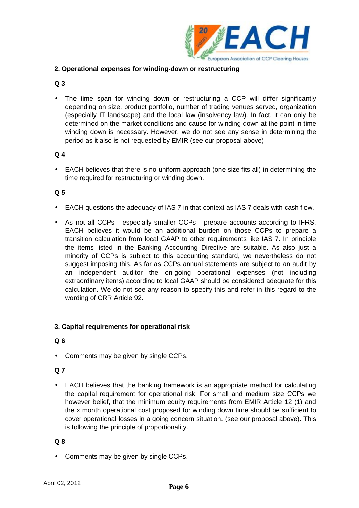

## **2. Operational expenses for winding-down or restructuring**

# **Q 3**

• The time span for winding down or restructuring a CCP will differ significantly depending on size, product portfolio, number of trading venues served, organization (especially IT landscape) and the local law (insolvency law). In fact, it can only be determined on the market conditions and cause for winding down at the point in time winding down is necessary. However, we do not see any sense in determining the period as it also is not requested by EMIR (see our proposal above)

## **Q 4**

• EACH believes that there is no uniform approach (one size fits all) in determining the time required for restructuring or winding down.

# **Q 5**

- EACH questions the adequacy of IAS 7 in that context as IAS 7 deals with cash flow.
- As not all CCPs especially smaller CCPs prepare accounts according to IFRS, EACH believes it would be an additional burden on those CCPs to prepare a transition calculation from local GAAP to other requirements like IAS 7. In principle the items listed in the Banking Accounting Directive are suitable. As also just a minority of CCPs is subject to this accounting standard, we nevertheless do not suggest imposing this. As far as CCPs annual statements are subject to an audit by an independent auditor the on-going operational expenses (not including extraordinary items) according to local GAAP should be considered adequate for this calculation. We do not see any reason to specify this and refer in this regard to the wording of CRR Article 92.

## **3. Capital requirements for operational risk**

### **Q 6**

• Comments may be given by single CCPs.

## **Q 7**

• EACH believes that the banking framework is an appropriate method for calculating the capital requirement for operational risk. For small and medium size CCPs we however belief, that the minimum equity requirements from EMIR Article 12 (1) and the x month operational cost proposed for winding down time should be sufficient to cover operational losses in a going concern situation. (see our proposal above). This is following the principle of proportionality.

## **Q 8**

• Comments may be given by single CCPs.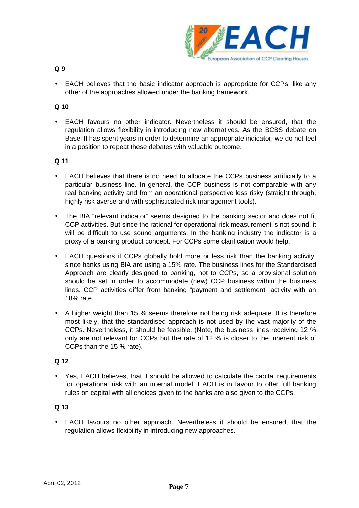

- **Q 9**
- EACH believes that the basic indicator approach is appropriate for CCPs, like any other of the approaches allowed under the banking framework.

### **Q 10**

• EACH favours no other indicator. Nevertheless it should be ensured, that the regulation allows flexibility in introducing new alternatives. As the BCBS debate on Basel II has spent years in order to determine an appropriate indicator, we do not feel in a position to repeat these debates with valuable outcome.

#### **Q 11**

- EACH believes that there is no need to allocate the CCPs business artificially to a particular business line. In general, the CCP business is not comparable with any real banking activity and from an operational perspective less risky (straight through, highly risk averse and with sophisticated risk management tools).
- The BIA "relevant indicator" seems designed to the banking sector and does not fit CCP activities. But since the rational for operational risk measurement is not sound, it will be difficult to use sound arguments. In the banking industry the indicator is a proxy of a banking product concept. For CCPs some clarification would help.
- EACH questions if CCPs globally hold more or less risk than the banking activity, since banks using BIA are using a 15% rate. The business lines for the Standardised Approach are clearly designed to banking, not to CCPs, so a provisional solution should be set in order to accommodate (new) CCP business within the business lines. CCP activities differ from banking "payment and settlement" activity with an 18% rate.
- A higher weight than 15 % seems therefore not being risk adequate. It is therefore most likely, that the standardised approach is not used by the vast majority of the CCPs. Nevertheless, it should be feasible. (Note, the business lines receiving 12 % only are not relevant for CCPs but the rate of 12 % is closer to the inherent risk of CCPs than the 15 % rate).

#### **Q 12**

• Yes, EACH believes, that it should be allowed to calculate the capital requirements for operational risk with an internal model. EACH is in favour to offer full banking rules on capital with all choices given to the banks are also given to the CCPs.

### **Q 13**

• EACH favours no other approach. Nevertheless it should be ensured, that the regulation allows flexibility in introducing new approaches.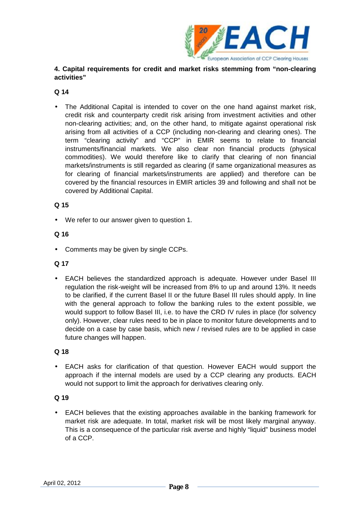

# **4. Capital requirements for credit and market risks stemming from "non-clearing activities"**

### **Q 14**

• The Additional Capital is intended to cover on the one hand against market risk, credit risk and counterparty credit risk arising from investment activities and other non-clearing activities; and, on the other hand, to mitigate against operational risk arising from all activities of a CCP (including non-clearing and clearing ones). The term "clearing activity" and "CCP" in EMIR seems to relate to financial instruments/financial markets. We also clear non financial products (physical commodities). We would therefore like to clarify that clearing of non financial markets/instruments is still regarded as clearing (if same organizational measures as for clearing of financial markets/instruments are applied) and therefore can be covered by the financial resources in EMIR articles 39 and following and shall not be covered by Additional Capital.

## **Q 15**

• We refer to our answer given to question 1.

### **Q 16**

• Comments may be given by single CCPs.

#### **Q 17**

• EACH believes the standardized approach is adequate. However under Basel III regulation the risk-weight will be increased from 8% to up and around 13%. It needs to be clarified, if the current Basel II or the future Basel III rules should apply. In line with the general approach to follow the banking rules to the extent possible, we would support to follow Basel III, i.e. to have the CRD IV rules in place (for solvency only). However, clear rules need to be in place to monitor future developments and to decide on a case by case basis, which new / revised rules are to be applied in case future changes will happen.

### **Q 18**

• EACH asks for clarification of that question. However EACH would support the approach if the internal models are used by a CCP clearing any products. EACH would not support to limit the approach for derivatives clearing only.

## **Q 19**

• EACH believes that the existing approaches available in the banking framework for market risk are adequate. In total, market risk will be most likely marginal anyway. This is a consequence of the particular risk averse and highly "liquid" business model of a CCP.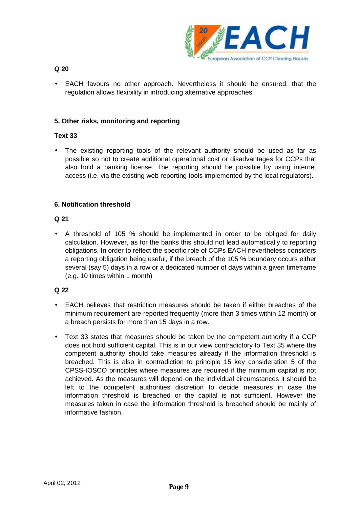

**Q 20** 

• EACH favours no other approach. Nevertheless it should be ensured, that the regulation allows flexibility in introducing alternative approaches.

### **5. Other risks, monitoring and reporting**

### **Text 33**

• The existing reporting tools of the relevant authority should be used as far as possible so not to create additional operational cost or disadvantages for CCPs that also hold a banking license. The reporting should be possible by using internet access (i.e. via the existing web reporting tools implemented by the local regulators).

### **6. Notification threshold**

#### **Q 21**

• A threshold of 105 % should be implemented in order to be obliged for daily calculation. However, as for the banks this should not lead automatically to reporting obligations. In order to reflect the specific role of CCPs EACH nevertheless considers a reporting obligation being useful, if the breach of the 105 % boundary occurs either several (say 5) days in a row or a dedicated number of days within a given timeframe (e.g. 10 times within 1 month)

## **Q 22**

- EACH believes that restriction measures should be taken if either breaches of the minimum requirement are reported frequently (more than 3 times within 12 month) or a breach persists for more than 15 days in a row.
- Text 33 states that measures should be taken by the competent authority if a CCP does not hold sufficient capital. This is in our view contradictory to Text 35 where the competent authority should take measures already if the information threshold is breached. This is also in contradiction to principle 15 key consideration 5 of the CPSS-IOSCO principles where measures are required if the minimum capital is not achieved. As the measures will depend on the individual circumstances it should be left to the competent authorities discretion to decide measures in case the information threshold is breached or the capital is not sufficient. However the measures taken in case the information threshold is breached should be mainly of informative fashion.